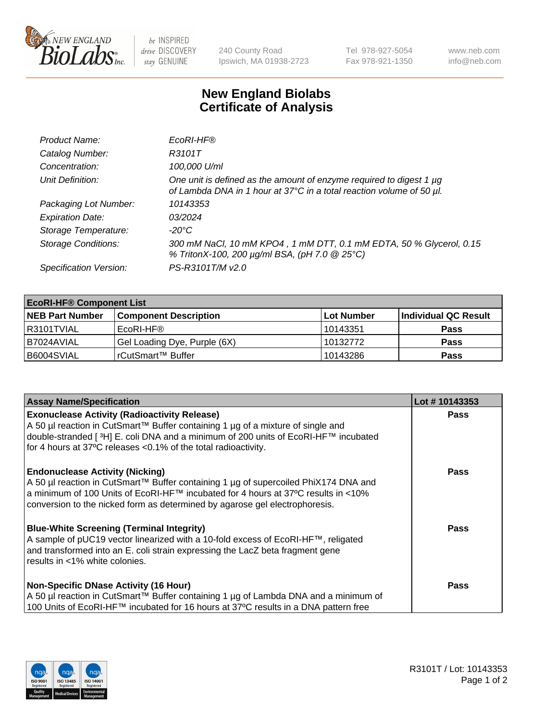

 $be$  INSPIRED drive DISCOVERY stay GENUINE

240 County Road Ipswich, MA 01938-2723 Tel 978-927-5054 Fax 978-921-1350 www.neb.com info@neb.com

## **New England Biolabs Certificate of Analysis**

| Product Name:              | EcoRI-HF®                                                                                                                                   |
|----------------------------|---------------------------------------------------------------------------------------------------------------------------------------------|
| Catalog Number:            | R3101T                                                                                                                                      |
| Concentration:             | 100,000 U/ml                                                                                                                                |
| Unit Definition:           | One unit is defined as the amount of enzyme required to digest 1 µg<br>of Lambda DNA in 1 hour at 37°C in a total reaction volume of 50 µl. |
| Packaging Lot Number:      | 10143353                                                                                                                                    |
| <b>Expiration Date:</b>    | 03/2024                                                                                                                                     |
| Storage Temperature:       | $-20^{\circ}$ C                                                                                                                             |
| <b>Storage Conditions:</b> | 300 mM NaCl, 10 mM KPO4, 1 mM DTT, 0.1 mM EDTA, 50 % Glycerol, 0.15<br>% TritonX-100, 200 µg/ml BSA, (pH 7.0 @ 25°C)                        |
| Specification Version:     | PS-R3101T/M v2.0                                                                                                                            |

| <b>EcoRI-HF® Component List</b> |                              |                   |                      |  |  |
|---------------------------------|------------------------------|-------------------|----------------------|--|--|
| <b>NEB Part Number</b>          | <b>Component Description</b> | <b>Lot Number</b> | Individual QC Result |  |  |
| I R3101TVIAL                    | EcoRI-HF®                    | 10143351          | <b>Pass</b>          |  |  |
| I B7024AVIAL                    | Gel Loading Dye, Purple (6X) | 10132772          | <b>Pass</b>          |  |  |
| B6004SVIAL                      | l rCutSmart™ Buffer          | 10143286          | <b>Pass</b>          |  |  |

| <b>Assay Name/Specification</b>                                                                                                                                                                                                                                                                       | Lot #10143353 |
|-------------------------------------------------------------------------------------------------------------------------------------------------------------------------------------------------------------------------------------------------------------------------------------------------------|---------------|
| <b>Exonuclease Activity (Radioactivity Release)</b>                                                                                                                                                                                                                                                   | <b>Pass</b>   |
| A 50 µl reaction in CutSmart™ Buffer containing 1 µg of a mixture of single and<br>double-stranded [ <sup>3</sup> H] E. coli DNA and a minimum of 200 units of EcoRI-HF™ incubated<br>for 4 hours at 37°C releases <0.1% of the total radioactivity.                                                  |               |
| <b>Endonuclease Activity (Nicking)</b><br>  A 50 µl reaction in CutSmart™ Buffer containing 1 µg of supercoiled PhiX174 DNA and<br>  a minimum of 100 Units of EcoRI-HF™ incubated for 4 hours at 37°C results in <10%<br>conversion to the nicked form as determined by agarose gel electrophoresis. | Pass          |
| <b>Blue-White Screening (Terminal Integrity)</b><br>A sample of pUC19 vector linearized with a 10-fold excess of EcoRI-HF™, religated<br>and transformed into an E. coli strain expressing the LacZ beta fragment gene<br>results in <1% white colonies.                                              | Pass          |
| <b>Non-Specific DNase Activity (16 Hour)</b><br>A 50 µl reaction in CutSmart™ Buffer containing 1 µg of Lambda DNA and a minimum of<br>100 Units of EcoRI-HF™ incubated for 16 hours at 37°C results in a DNA pattern free                                                                            | <b>Pass</b>   |